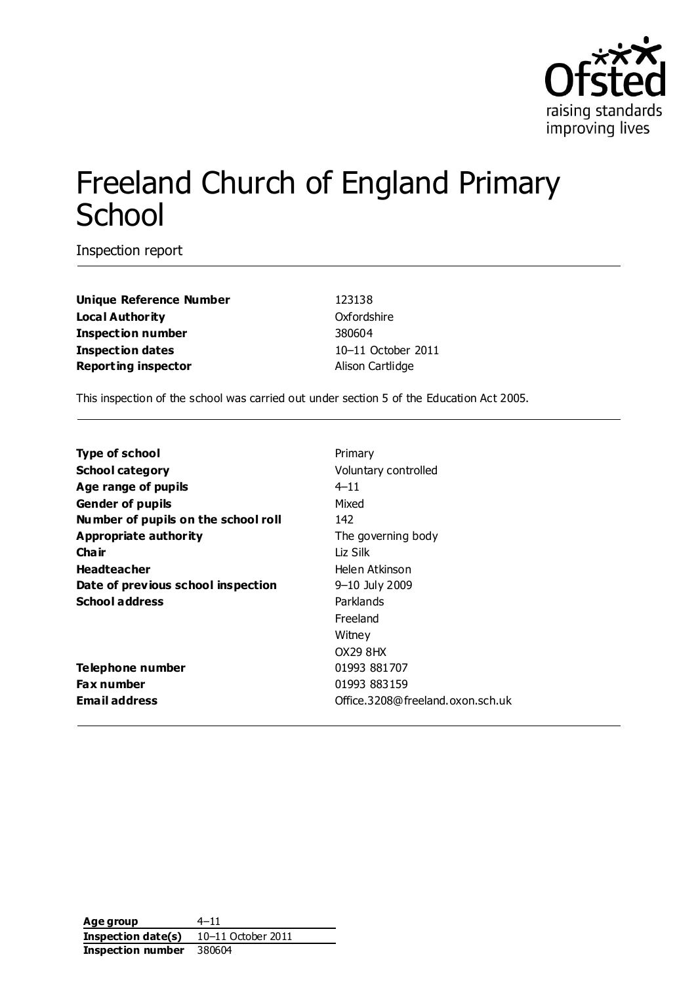

# Freeland Church of England Primary **School**

Inspection report

**Unique Reference Number** 123138 **Local Authority** Oxfordshire **Inspection number** 380604 **Inspection dates** 10–11 October 2011 **Reporting inspector Alison Cartlidge** 

This inspection of the school was carried out under section 5 of the Education Act 2005.

| Type of school                      | Primary                          |
|-------------------------------------|----------------------------------|
| <b>School category</b>              | Voluntary controlled             |
| Age range of pupils                 | $4 - 11$                         |
| <b>Gender of pupils</b>             | Mixed                            |
| Number of pupils on the school roll | 142                              |
| Appropriate authority               | The governing body               |
| Cha ir                              | Liz Silk                         |
| <b>Headteacher</b>                  | Helen Atkinson                   |
| Date of previous school inspection  | 9-10 July 2009                   |
| <b>School address</b>               | Parklands                        |
|                                     | Freeland                         |
|                                     | Witney                           |
|                                     | OX29 8HX                         |
| Telephone number                    | 01993 881707                     |
| <b>Fax number</b>                   | 01993 883159                     |
| <b>Email address</b>                | Office.3208@freeland.oxon.sch.uk |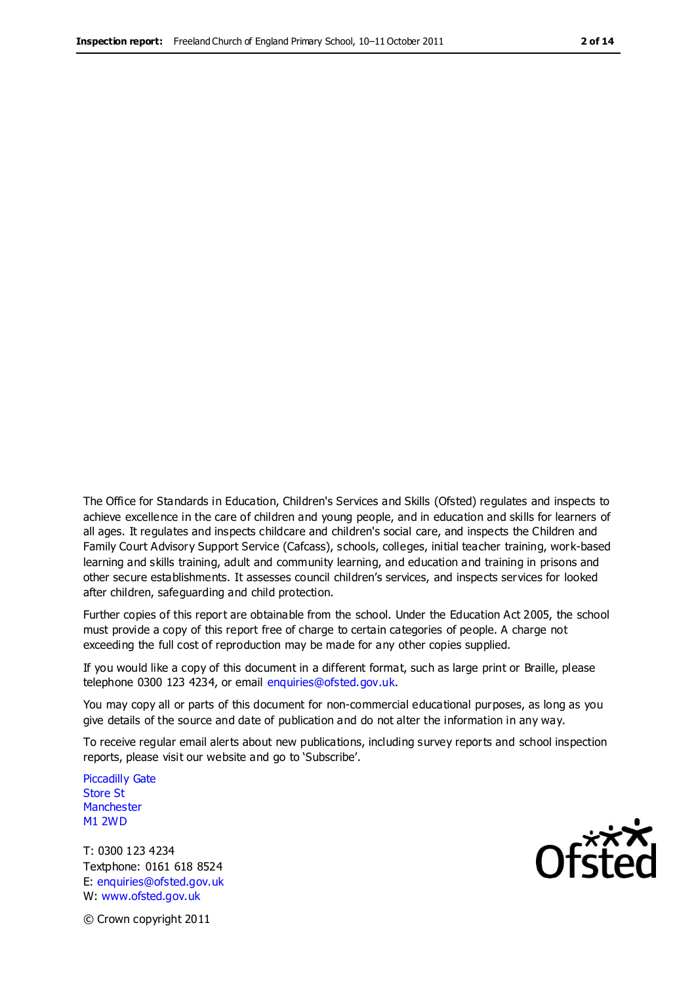The Office for Standards in Education, Children's Services and Skills (Ofsted) regulates and inspects to achieve excellence in the care of children and young people, and in education and skills for learners of all ages. It regulates and inspects childcare and children's social care, and inspects the Children and Family Court Advisory Support Service (Cafcass), schools, colleges, initial teacher training, work-based learning and skills training, adult and community learning, and education and training in prisons and other secure establishments. It assesses council children's services, and inspects services for looked after children, safeguarding and child protection.

Further copies of this report are obtainable from the school. Under the Education Act 2005, the school must provide a copy of this report free of charge to certain categories of people. A charge not exceeding the full cost of reproduction may be made for any other copies supplied.

If you would like a copy of this document in a different format, such as large print or Braille, please telephone 0300 123 4234, or email enquiries@ofsted.gov.uk.

You may copy all or parts of this document for non-commercial educational purposes, as long as you give details of the source and date of publication and do not alter the information in any way.

To receive regular email alerts about new publications, including survey reports and school inspection reports, please visit our website and go to 'Subscribe'.

Piccadilly Gate Store St **Manchester** M1 2WD

T: 0300 123 4234 Textphone: 0161 618 8524 E: enquiries@ofsted.gov.uk W: www.ofsted.gov.uk

**Ofsted** 

© Crown copyright 2011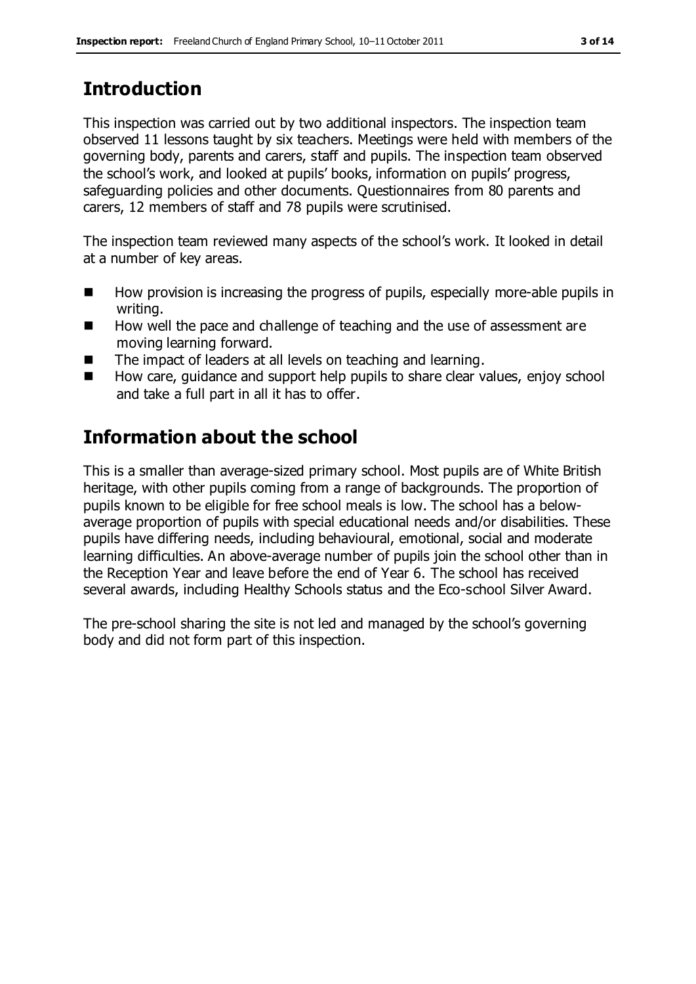# **Introduction**

This inspection was carried out by two additional inspectors. The inspection team observed 11 lessons taught by six teachers. Meetings were held with members of the governing body, parents and carers, staff and pupils. The inspection team observed the school's work, and looked at pupils' books, information on pupils' progress, safeguarding policies and other documents. Questionnaires from 80 parents and carers, 12 members of staff and 78 pupils were scrutinised.

The inspection team reviewed many aspects of the school's work. It looked in detail at a number of key areas.

- $\blacksquare$  How provision is increasing the progress of pupils, especially more-able pupils in writing.
- How well the pace and challenge of teaching and the use of assessment are moving learning forward.
- The impact of leaders at all levels on teaching and learning.
- How care, guidance and support help pupils to share clear values, enjoy school and take a full part in all it has to offer.

# **Information about the school**

This is a smaller than average-sized primary school. Most pupils are of White British heritage, with other pupils coming from a range of backgrounds. The proportion of pupils known to be eligible for free school meals is low. The school has a belowaverage proportion of pupils with special educational needs and/or disabilities. These pupils have differing needs, including behavioural, emotional, social and moderate learning difficulties. An above-average number of pupils join the school other than in the Reception Year and leave before the end of Year 6. The school has received several awards, including Healthy Schools status and the Eco-school Silver Award.

The pre-school sharing the site is not led and managed by the school's governing body and did not form part of this inspection.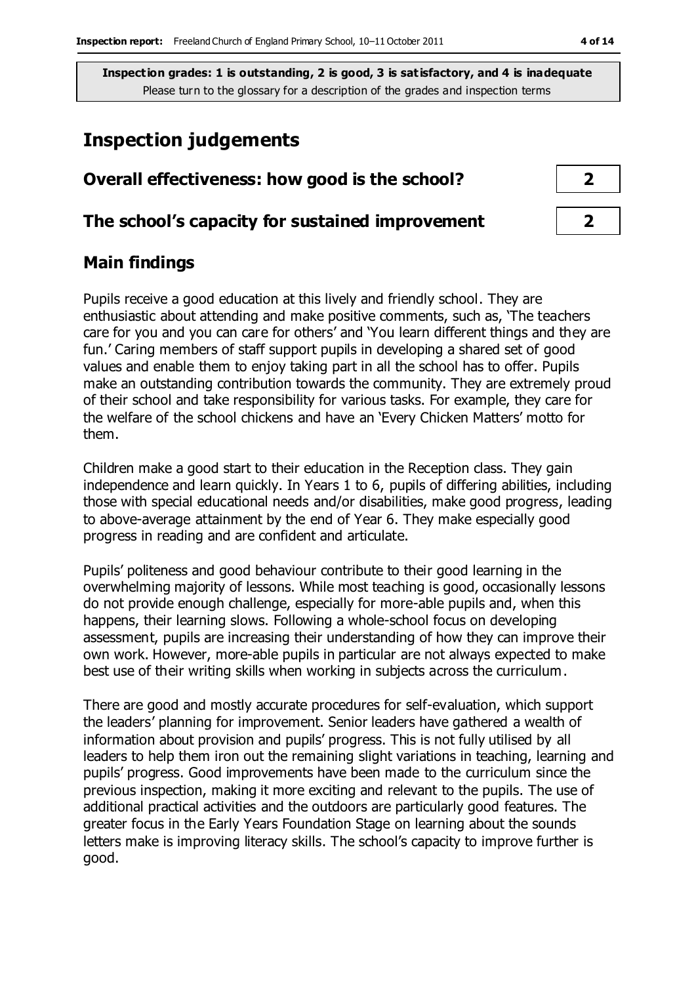### **Inspection judgements**

# **Overall effectiveness: how good is the school? 2**

#### **The school's capacity for sustained improvement 2**

#### **Main findings**

Pupils receive a good education at this lively and friendly school. They are enthusiastic about attending and make positive comments, such as, 'The teachers care for you and you can care for others' and 'You learn different things and they are fun.' Caring members of staff support pupils in developing a shared set of good values and enable them to enjoy taking part in all the school has to offer. Pupils make an outstanding contribution towards the community. They are extremely proud of their school and take responsibility for various tasks. For example, they care for the welfare of the school chickens and have an 'Every Chicken Matters' motto for them.

Children make a good start to their education in the Reception class. They gain independence and learn quickly. In Years 1 to 6, pupils of differing abilities, including those with special educational needs and/or disabilities, make good progress, leading to above-average attainment by the end of Year 6. They make especially good progress in reading and are confident and articulate.

Pupils' politeness and good behaviour contribute to their good learning in the overwhelming majority of lessons. While most teaching is good, occasionally lessons do not provide enough challenge, especially for more-able pupils and, when this happens, their learning slows. Following a whole-school focus on developing assessment, pupils are increasing their understanding of how they can improve their own work. However, more-able pupils in particular are not always expected to make best use of their writing skills when working in subjects across the curriculum.

There are good and mostly accurate procedures for self-evaluation, which support the leaders' planning for improvement. Senior leaders have gathered a wealth of information about provision and pupils' progress. This is not fully utilised by all leaders to help them iron out the remaining slight variations in teaching, learning and pupils' progress. Good improvements have been made to the curriculum since the previous inspection, making it more exciting and relevant to the pupils. The use of additional practical activities and the outdoors are particularly good features. The greater focus in the Early Years Foundation Stage on learning about the sounds letters make is improving literacy skills. The school's capacity to improve further is good.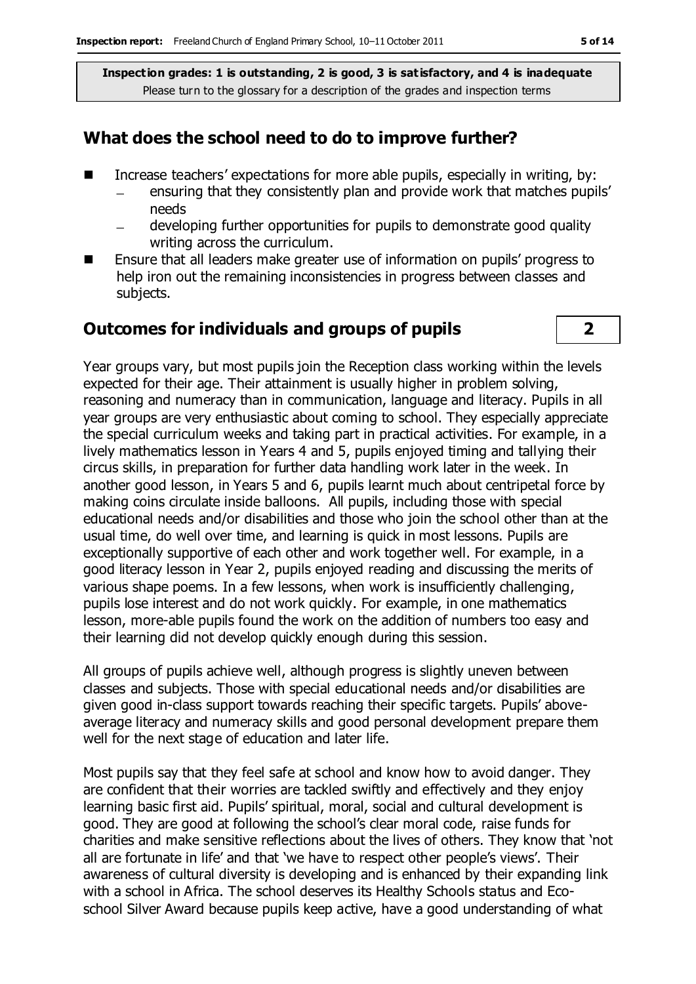#### **What does the school need to do to improve further?**

- Increase teachers' expectations for more able pupils, especially in writing, by:
	- ensuring that they consistently plan and provide work that matches pupils' needs
	- developing further opportunities for pupils to demonstrate good quality writing across the curriculum.
- Ensure that all leaders make greater use of information on pupils' progress to help iron out the remaining inconsistencies in progress between classes and subjects.

#### **Outcomes for individuals and groups of pupils 2**



Year groups vary, but most pupils join the Reception class working within the levels expected for their age. Their attainment is usually higher in problem solving, reasoning and numeracy than in communication, language and literacy. Pupils in all year groups are very enthusiastic about coming to school. They especially appreciate the special curriculum weeks and taking part in practical activities. For example, in a lively mathematics lesson in Years 4 and 5, pupils enjoyed timing and tallying their circus skills, in preparation for further data handling work later in the week. In another good lesson, in Years 5 and 6, pupils learnt much about centripetal force by making coins circulate inside balloons. All pupils, including those with special educational needs and/or disabilities and those who join the school other than at the usual time, do well over time, and learning is quick in most lessons. Pupils are exceptionally supportive of each other and work together well. For example, in a good literacy lesson in Year 2, pupils enjoyed reading and discussing the merits of various shape poems. In a few lessons, when work is insufficiently challenging, pupils lose interest and do not work quickly. For example, in one mathematics lesson, more-able pupils found the work on the addition of numbers too easy and their learning did not develop quickly enough during this session.

All groups of pupils achieve well, although progress is slightly uneven between classes and subjects. Those with special educational needs and/or disabilities are given good in-class support towards reaching their specific targets. Pupils' aboveaverage literacy and numeracy skills and good personal development prepare them well for the next stage of education and later life.

Most pupils say that they feel safe at school and know how to avoid danger. They are confident that their worries are tackled swiftly and effectively and they enjoy learning basic first aid. Pupils' spiritual, moral, social and cultural development is good. They are good at following the school's clear moral code, raise funds for charities and make sensitive reflections about the lives of others. They know that 'not all are fortunate in life' and that 'we have to respect other people's views'. Their awareness of cultural diversity is developing and is enhanced by their expanding link with a school in Africa. The school deserves its Healthy Schools status and Ecoschool Silver Award because pupils keep active, have a good understanding of what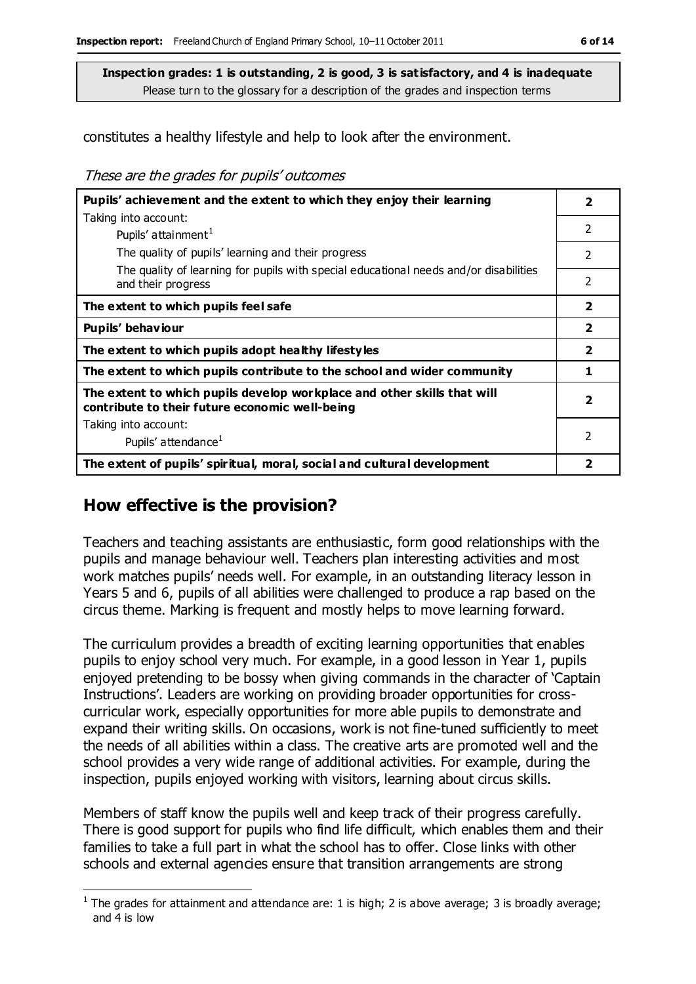constitutes a healthy lifestyle and help to look after the environment.

These are the grades for pupils' outcomes

| Pupils' achievement and the extent to which they enjoy their learning                                                     |                         |
|---------------------------------------------------------------------------------------------------------------------------|-------------------------|
| Taking into account:                                                                                                      | 2                       |
| Pupils' attainment <sup>1</sup>                                                                                           |                         |
| The quality of pupils' learning and their progress                                                                        | 2                       |
| The quality of learning for pupils with special educational needs and/or disabilities<br>and their progress               | 2                       |
| The extent to which pupils feel safe                                                                                      | $\overline{2}$          |
| Pupils' behaviour                                                                                                         | $\overline{\mathbf{2}}$ |
| The extent to which pupils adopt healthy lifestyles                                                                       | $\overline{\mathbf{2}}$ |
| The extent to which pupils contribute to the school and wider community                                                   | 1                       |
| The extent to which pupils develop workplace and other skills that will<br>contribute to their future economic well-being | $\overline{\mathbf{2}}$ |
| Taking into account:                                                                                                      |                         |
| Pupils' attendance <sup>1</sup>                                                                                           | 2                       |
| The extent of pupils' spiritual, moral, social and cultural development                                                   | 2                       |

#### **How effective is the provision?**

 $\overline{a}$ 

Teachers and teaching assistants are enthusiastic, form good relationships with the pupils and manage behaviour well. Teachers plan interesting activities and most work matches pupils' needs well. For example, in an outstanding literacy lesson in Years 5 and 6, pupils of all abilities were challenged to produce a rap based on the circus theme. Marking is frequent and mostly helps to move learning forward.

The curriculum provides a breadth of exciting learning opportunities that enables pupils to enjoy school very much. For example, in a good lesson in Year 1, pupils enjoyed pretending to be bossy when giving commands in the character of 'Captain Instructions'. Leaders are working on providing broader opportunities for crosscurricular work, especially opportunities for more able pupils to demonstrate and expand their writing skills. On occasions, work is not fine-tuned sufficiently to meet the needs of all abilities within a class. The creative arts are promoted well and the school provides a very wide range of additional activities. For example, during the inspection, pupils enjoyed working with visitors, learning about circus skills.

Members of staff know the pupils well and keep track of their progress carefully. There is good support for pupils who find life difficult, which enables them and their families to take a full part in what the school has to offer. Close links with other schools and external agencies ensure that transition arrangements are strong

<sup>&</sup>lt;sup>1</sup> The grades for attainment and attendance are: 1 is high; 2 is above average; 3 is broadly average; and 4 is low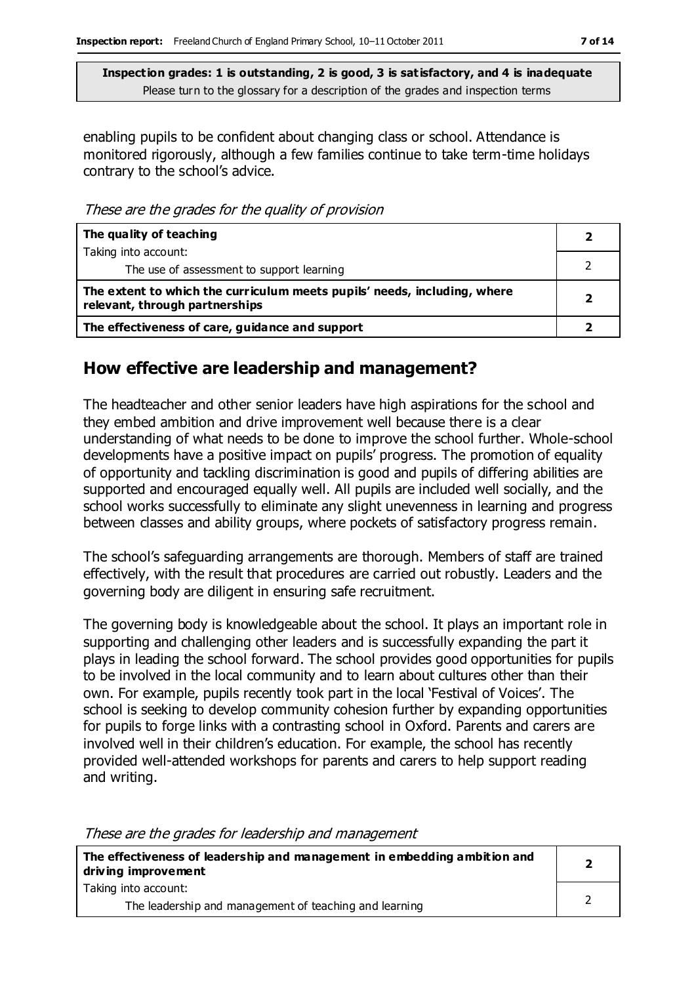enabling pupils to be confident about changing class or school. Attendance is monitored rigorously, although a few families continue to take term-time holidays contrary to the school's advice.

These are the grades for the quality of provision

| The quality of teaching                                                                                    |  |
|------------------------------------------------------------------------------------------------------------|--|
| Taking into account:                                                                                       |  |
| The use of assessment to support learning                                                                  |  |
| The extent to which the curriculum meets pupils' needs, including, where<br>relevant, through partnerships |  |
| The effectiveness of care, guidance and support                                                            |  |

#### **How effective are leadership and management?**

The headteacher and other senior leaders have high aspirations for the school and they embed ambition and drive improvement well because there is a clear understanding of what needs to be done to improve the school further. Whole-school developments have a positive impact on pupils' progress. The promotion of equality of opportunity and tackling discrimination is good and pupils of differing abilities are supported and encouraged equally well. All pupils are included well socially, and the school works successfully to eliminate any slight unevenness in learning and progress between classes and ability groups, where pockets of satisfactory progress remain.

The school's safeguarding arrangements are thorough. Members of staff are trained effectively, with the result that procedures are carried out robustly. Leaders and the governing body are diligent in ensuring safe recruitment.

The governing body is knowledgeable about the school. It plays an important role in supporting and challenging other leaders and is successfully expanding the part it plays in leading the school forward. The school provides good opportunities for pupils to be involved in the local community and to learn about cultures other than their own. For example, pupils recently took part in the local 'Festival of Voices'. The school is seeking to develop community cohesion further by expanding opportunities for pupils to forge links with a contrasting school in Oxford. Parents and carers are involved well in their children's education. For example, the school has recently provided well-attended workshops for parents and carers to help support reading and writing.

| <u>THESE ALE UTE GLAUES TOL TEAUERSHIP AND MANAGEMENT</u>                                       |  |
|-------------------------------------------------------------------------------------------------|--|
| The effectiveness of leadership and management in embedding ambition and<br>driving improvement |  |
| Taking into account:                                                                            |  |
| The leadership and management of teaching and learning                                          |  |

These are the grades for leadership and management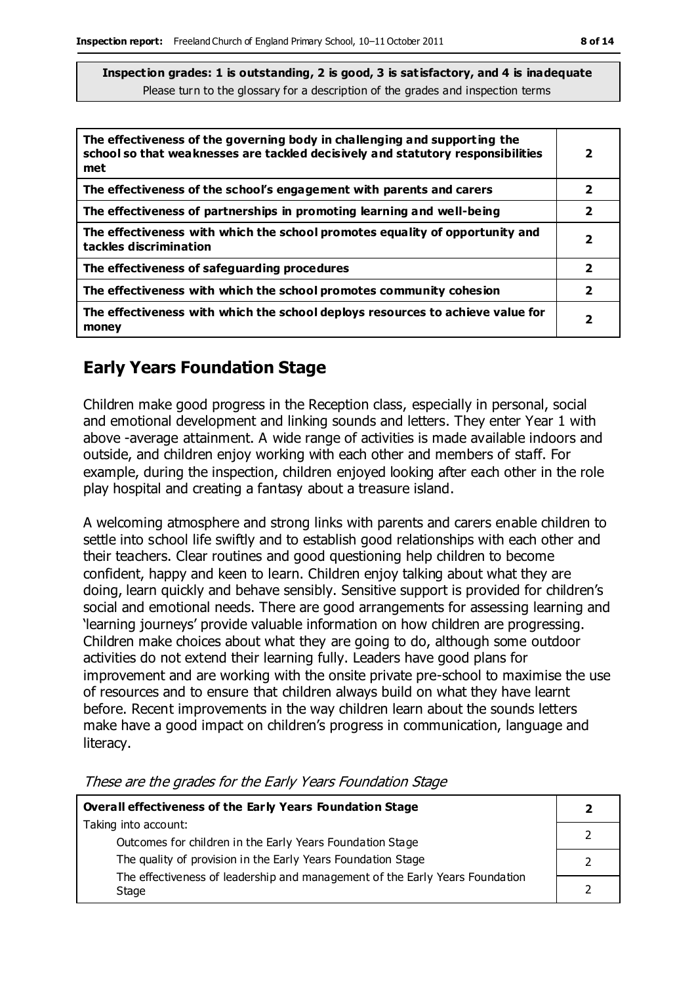| The effectiveness of the governing body in challenging and supporting the<br>school so that weaknesses are tackled decisively and statutory responsibilities<br>met | 2                       |
|---------------------------------------------------------------------------------------------------------------------------------------------------------------------|-------------------------|
| The effectiveness of the school's engagement with parents and carers                                                                                                | 2                       |
| The effectiveness of partnerships in promoting learning and well-being                                                                                              | 2                       |
| The effectiveness with which the school promotes equality of opportunity and<br>tackles discrimination                                                              | 2                       |
| The effectiveness of safeguarding procedures                                                                                                                        | $\overline{\mathbf{2}}$ |
| The effectiveness with which the school promotes community cohesion                                                                                                 | $\overline{\mathbf{2}}$ |
| The effectiveness with which the school deploys resources to achieve value for<br>money                                                                             | 2                       |

#### **Early Years Foundation Stage**

Children make good progress in the Reception class, especially in personal, social and emotional development and linking sounds and letters. They enter Year 1 with above -average attainment. A wide range of activities is made available indoors and outside, and children enjoy working with each other and members of staff. For example, during the inspection, children enjoyed looking after each other in the role play hospital and creating a fantasy about a treasure island.

A welcoming atmosphere and strong links with parents and carers enable children to settle into school life swiftly and to establish good relationships with each other and their teachers. Clear routines and good questioning help children to become confident, happy and keen to learn. Children enjoy talking about what they are doing, learn quickly and behave sensibly. Sensitive support is provided for children's social and emotional needs. There are good arrangements for assessing learning and 'learning journeys' provide valuable information on how children are progressing. Children make choices about what they are going to do, although some outdoor activities do not extend their learning fully. Leaders have good plans for improvement and are working with the onsite private pre-school to maximise the use of resources and to ensure that children always build on what they have learnt before. Recent improvements in the way children learn about the sounds letters make have a good impact on children's progress in communication, language and literacy.

| Overall effectiveness of the Early Years Foundation Stage                             |  |
|---------------------------------------------------------------------------------------|--|
| Taking into account:<br>Outcomes for children in the Early Years Foundation Stage     |  |
| The quality of provision in the Early Years Foundation Stage                          |  |
| The effectiveness of leadership and management of the Early Years Foundation<br>Stage |  |

These are the grades for the Early Years Foundation Stage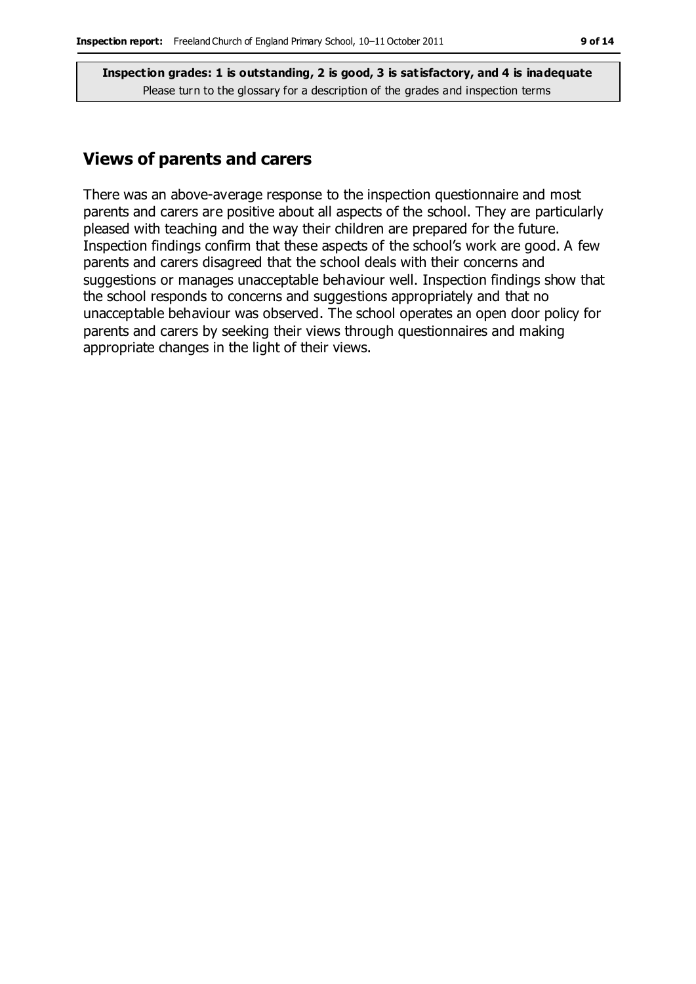#### **Views of parents and carers**

There was an above-average response to the inspection questionnaire and most parents and carers are positive about all aspects of the school. They are particularly pleased with teaching and the way their children are prepared for the future. Inspection findings confirm that these aspects of the school's work are good. A few parents and carers disagreed that the school deals with their concerns and suggestions or manages unacceptable behaviour well. Inspection findings show that the school responds to concerns and suggestions appropriately and that no unacceptable behaviour was observed. The school operates an open door policy for parents and carers by seeking their views through questionnaires and making appropriate changes in the light of their views.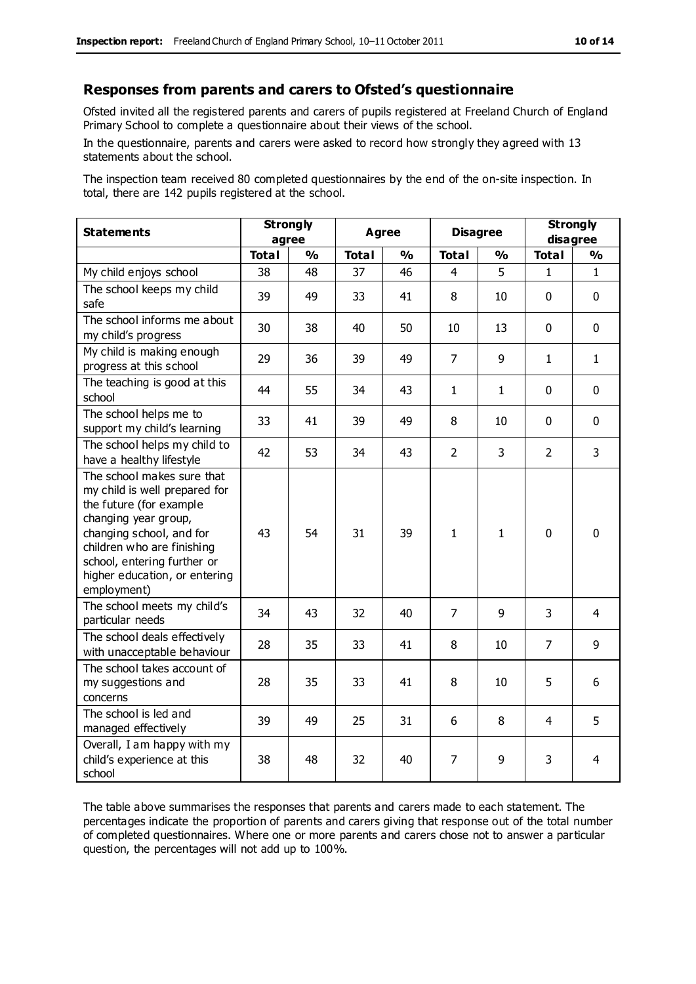#### **Responses from parents and carers to Ofsted's questionnaire**

Ofsted invited all the registered parents and carers of pupils registered at Freeland Church of England Primary School to complete a questionnaire about their views of the school.

In the questionnaire, parents and carers were asked to record how strongly they agreed with 13 statements about the school.

The inspection team received 80 completed questionnaires by the end of the on-site inspection. In total, there are 142 pupils registered at the school.

| <b>Statements</b>                                                                                                                                                                                                                                       | <b>Strongly</b><br>agree |                         | <b>Agree</b> |               | <b>Disagree</b> |                | <b>Strongly</b><br>disagree |                |
|---------------------------------------------------------------------------------------------------------------------------------------------------------------------------------------------------------------------------------------------------------|--------------------------|-------------------------|--------------|---------------|-----------------|----------------|-----------------------------|----------------|
|                                                                                                                                                                                                                                                         | <b>Total</b>             | $\mathbf{O}/\mathbf{o}$ | <b>Total</b> | $\frac{1}{2}$ | <b>Total</b>    | $\frac{1}{2}$  | <b>Total</b>                | $\frac{1}{2}$  |
| My child enjoys school                                                                                                                                                                                                                                  | 38                       | 48                      | 37           | 46            | 4               | 5              | 1                           | $\mathbf{1}$   |
| The school keeps my child<br>safe                                                                                                                                                                                                                       | 39                       | 49                      | 33           | 41            | 8               | 10             | $\mathbf 0$                 | $\mathbf 0$    |
| The school informs me about<br>my child's progress                                                                                                                                                                                                      | 30                       | 38                      | 40           | 50            | 10              | 13             | $\mathbf 0$                 | $\mathbf 0$    |
| My child is making enough<br>progress at this school                                                                                                                                                                                                    | 29                       | 36                      | 39           | 49            | $\overline{7}$  | 9              | $\mathbf{1}$                | $\mathbf{1}$   |
| The teaching is good at this<br>school                                                                                                                                                                                                                  | 44                       | 55                      | 34           | 43            | $\mathbf{1}$    | $\mathbf{1}$   | $\mathbf 0$                 | $\mathbf 0$    |
| The school helps me to<br>support my child's learning                                                                                                                                                                                                   | 33                       | 41                      | 39           | 49            | 8               | 10             | $\Omega$                    | $\mathbf 0$    |
| The school helps my child to<br>have a healthy lifestyle                                                                                                                                                                                                | 42                       | 53                      | 34           | 43            | $\overline{2}$  | $\overline{3}$ | $\overline{2}$              | 3              |
| The school makes sure that<br>my child is well prepared for<br>the future (for example<br>changing year group,<br>changing school, and for<br>children who are finishing<br>school, entering further or<br>higher education, or entering<br>employment) | 43                       | 54                      | 31           | 39            | $\mathbf{1}$    | $\mathbf{1}$   | $\mathbf{0}$                | $\mathbf 0$    |
| The school meets my child's<br>particular needs                                                                                                                                                                                                         | 34                       | 43                      | 32           | 40            | 7               | 9              | 3                           | $\overline{4}$ |
| The school deals effectively<br>with unacceptable behaviour                                                                                                                                                                                             | 28                       | 35                      | 33           | 41            | 8               | 10             | $\overline{7}$              | 9              |
| The school takes account of<br>my suggestions and<br>concerns                                                                                                                                                                                           | 28                       | 35                      | 33           | 41            | 8               | 10             | 5                           | 6              |
| The school is led and<br>managed effectively                                                                                                                                                                                                            | 39                       | 49                      | 25           | 31            | 6               | 8              | $\overline{4}$              | 5              |
| Overall, I am happy with my<br>child's experience at this<br>school                                                                                                                                                                                     | 38                       | 48                      | 32           | 40            | 7               | 9              | 3                           | 4              |

The table above summarises the responses that parents and carers made to each statement. The percentages indicate the proportion of parents and carers giving that response out of the total number of completed questionnaires. Where one or more parents and carers chose not to answer a particular question, the percentages will not add up to 100%.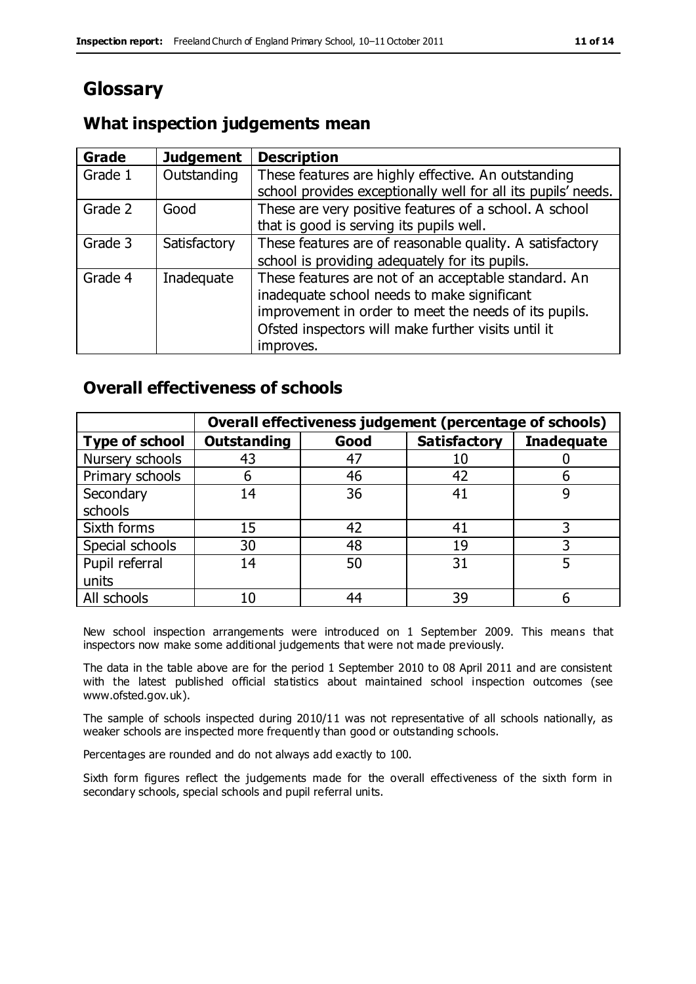## **Glossary**

#### **What inspection judgements mean**

| Grade   | <b>Judgement</b> | <b>Description</b>                                            |
|---------|------------------|---------------------------------------------------------------|
| Grade 1 | Outstanding      | These features are highly effective. An outstanding           |
|         |                  | school provides exceptionally well for all its pupils' needs. |
| Grade 2 | Good             | These are very positive features of a school. A school        |
|         |                  | that is good is serving its pupils well.                      |
| Grade 3 | Satisfactory     | These features are of reasonable quality. A satisfactory      |
|         |                  | school is providing adequately for its pupils.                |
| Grade 4 | Inadequate       | These features are not of an acceptable standard. An          |
|         |                  | inadequate school needs to make significant                   |
|         |                  | improvement in order to meet the needs of its pupils.         |
|         |                  | Ofsted inspectors will make further visits until it           |
|         |                  | improves.                                                     |

#### **Overall effectiveness of schools**

|                       |                    |      | Overall effectiveness judgement (percentage of schools) |                   |
|-----------------------|--------------------|------|---------------------------------------------------------|-------------------|
| <b>Type of school</b> | <b>Outstanding</b> | Good | <b>Satisfactory</b>                                     | <b>Inadequate</b> |
| Nursery schools       | 43                 | 47   |                                                         |                   |
| Primary schools       | h                  | 46   | 42                                                      |                   |
| Secondary             | 14                 | 36   | 41                                                      |                   |
| schools               |                    |      |                                                         |                   |
| Sixth forms           | 15                 | 42   | 41                                                      | 3                 |
| Special schools       | 30                 | 48   | 19                                                      |                   |
| Pupil referral        | 14                 | 50   | 31                                                      |                   |
| units                 |                    |      |                                                         |                   |
| All schools           | 10                 | 44   | 39                                                      |                   |

New school inspection arrangements were introduced on 1 September 2009. This means that inspectors now make some additional judgements that were not made previously.

The data in the table above are for the period 1 September 2010 to 08 April 2011 and are consistent with the latest published official statistics about maintained school inspection outcomes (see www.ofsted.gov.uk).

The sample of schools inspected during 2010/11 was not representative of all schools nationally, as weaker schools are inspected more frequently than good or outstanding schools.

Percentages are rounded and do not always add exactly to 100.

Sixth form figures reflect the judgements made for the overall effectiveness of the sixth form in secondary schools, special schools and pupil referral units.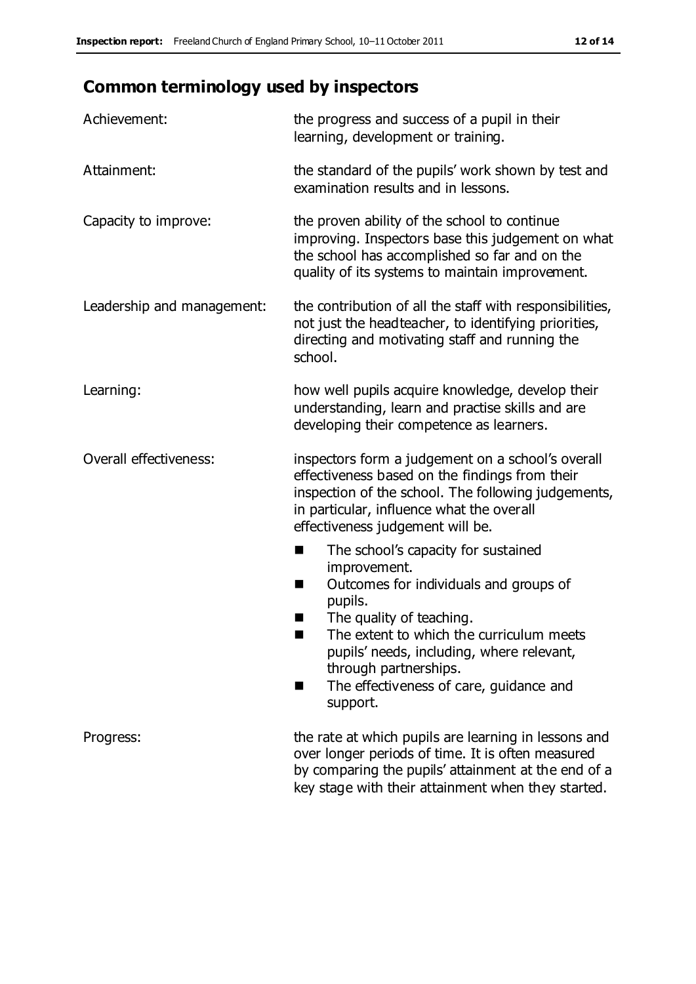# **Common terminology used by inspectors**

| Achievement:                  | the progress and success of a pupil in their<br>learning, development or training.                                                                                                                                                                                                                                           |
|-------------------------------|------------------------------------------------------------------------------------------------------------------------------------------------------------------------------------------------------------------------------------------------------------------------------------------------------------------------------|
| Attainment:                   | the standard of the pupils' work shown by test and<br>examination results and in lessons.                                                                                                                                                                                                                                    |
| Capacity to improve:          | the proven ability of the school to continue<br>improving. Inspectors base this judgement on what<br>the school has accomplished so far and on the<br>quality of its systems to maintain improvement.                                                                                                                        |
| Leadership and management:    | the contribution of all the staff with responsibilities,<br>not just the headteacher, to identifying priorities,<br>directing and motivating staff and running the<br>school.                                                                                                                                                |
| Learning:                     | how well pupils acquire knowledge, develop their<br>understanding, learn and practise skills and are<br>developing their competence as learners.                                                                                                                                                                             |
| <b>Overall effectiveness:</b> | inspectors form a judgement on a school's overall<br>effectiveness based on the findings from their<br>inspection of the school. The following judgements,<br>in particular, influence what the overall<br>effectiveness judgement will be.                                                                                  |
|                               | The school's capacity for sustained<br>×<br>improvement.<br>Outcomes for individuals and groups of<br>п<br>pupils.<br>The quality of teaching.<br>The extent to which the curriculum meets<br>pupils' needs, including, where relevant,<br>through partnerships.<br>The effectiveness of care, guidance and<br>■<br>support. |
| Progress:                     | the rate at which pupils are learning in lessons and<br>over longer periods of time. It is often measured<br>by comparing the pupils' attainment at the end of a<br>key stage with their attainment when they started.                                                                                                       |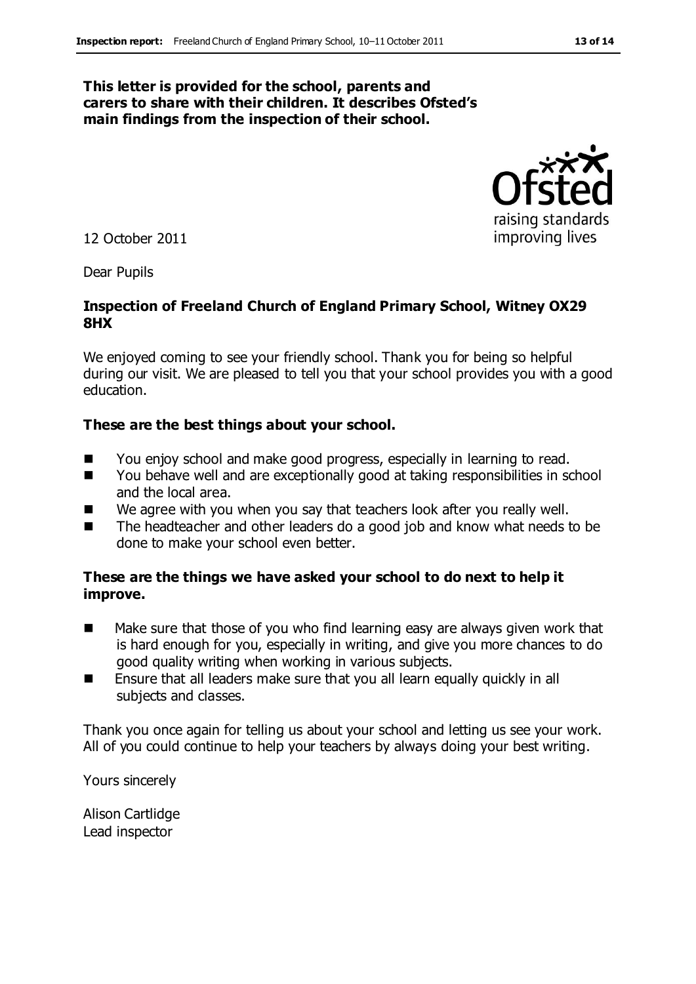#### **This letter is provided for the school, parents and carers to share with their children. It describes Ofsted's main findings from the inspection of their school.**



Dear Pupils

#### **Inspection of Freeland Church of England Primary School, Witney OX29 8HX**

We enjoyed coming to see your friendly school. Thank you for being so helpful during our visit. We are pleased to tell you that your school provides you with a good education.

#### **These are the best things about your school.**

- You enjoy school and make good progress, especially in learning to read.
- You behave well and are exceptionally good at taking responsibilities in school and the local area.
- We agree with you when you say that teachers look after you really well.
- The headteacher and other leaders do a good job and know what needs to be done to make your school even better.

#### **These are the things we have asked your school to do next to help it improve.**

- Make sure that those of you who find learning easy are always given work that is hard enough for you, especially in writing, and give you more chances to do good quality writing when working in various subjects.
- **E** Ensure that all leaders make sure that you all learn equally quickly in all subjects and classes.

Thank you once again for telling us about your school and letting us see your work. All of you could continue to help your teachers by always doing your best writing.

Yours sincerely

Alison Cartlidge Lead inspector